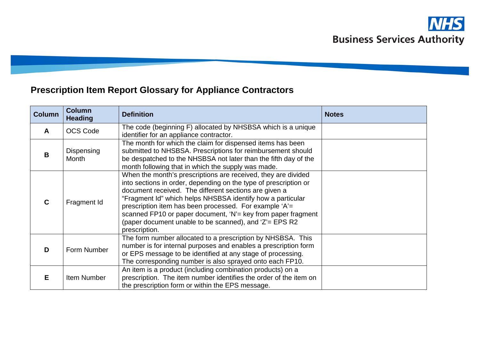# **Prescription Item Report Glossary for Appliance Contractors**

| <b>Column</b> | <b>Column</b><br><b>Heading</b> | <b>Definition</b>                                                                                                                                                                                                                                                                                                                                                                                                                                              | <b>Notes</b> |
|---------------|---------------------------------|----------------------------------------------------------------------------------------------------------------------------------------------------------------------------------------------------------------------------------------------------------------------------------------------------------------------------------------------------------------------------------------------------------------------------------------------------------------|--------------|
| A             | <b>OCS Code</b>                 | The code (beginning F) allocated by NHSBSA which is a unique<br>identifier for an appliance contractor.                                                                                                                                                                                                                                                                                                                                                        |              |
| B             | Dispensing<br>Month             | The month for which the claim for dispensed items has been<br>submitted to NHSBSA. Prescriptions for reimbursement should<br>be despatched to the NHSBSA not later than the fifth day of the<br>month following that in which the supply was made.                                                                                                                                                                                                             |              |
| $\mathbf C$   | Fragment Id                     | When the month's prescriptions are received, they are divided<br>into sections in order, depending on the type of prescription or<br>document received. The different sections are given a<br>"Fragment Id" which helps NHSBSA identify how a particular<br>prescription item has been processed. For example 'A'=<br>scanned FP10 or paper document, 'N' = key from paper fragment<br>(paper document unable to be scanned), and 'Z'= EPS R2<br>prescription. |              |
| D             | Form Number                     | The form number allocated to a prescription by NHSBSA. This<br>number is for internal purposes and enables a prescription form<br>or EPS message to be identified at any stage of processing.<br>The corresponding number is also sprayed onto each FP10.                                                                                                                                                                                                      |              |
| Е             | Item Number                     | An item is a product (including combination products) on a<br>prescription. The item number identifies the order of the item on<br>the prescription form or within the EPS message.                                                                                                                                                                                                                                                                            |              |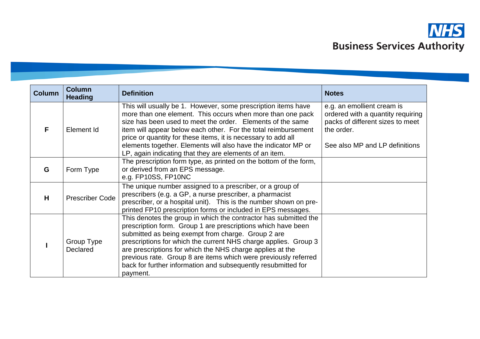

| <b>Column</b> | <b>Column</b><br><b>Heading</b> | <b>Definition</b>                                                                                                                                                                                                                                                                                                                                                                                                                                                      | <b>Notes</b>                                                                                                                                        |
|---------------|---------------------------------|------------------------------------------------------------------------------------------------------------------------------------------------------------------------------------------------------------------------------------------------------------------------------------------------------------------------------------------------------------------------------------------------------------------------------------------------------------------------|-----------------------------------------------------------------------------------------------------------------------------------------------------|
| F             | Element Id                      | This will usually be 1. However, some prescription items have<br>more than one element. This occurs when more than one pack<br>size has been used to meet the order. Elements of the same<br>item will appear below each other. For the total reimbursement<br>price or quantity for these items, it is necessary to add all<br>elements together. Elements will also have the indicator MP or<br>LP, again indicating that they are elements of an item.              | e.g. an emollient cream is<br>ordered with a quantity requiring<br>packs of different sizes to meet<br>the order.<br>See also MP and LP definitions |
| G             | Form Type                       | The prescription form type, as printed on the bottom of the form,<br>or derived from an EPS message.<br>e.g. FP10SS, FP10NC                                                                                                                                                                                                                                                                                                                                            |                                                                                                                                                     |
| H             | <b>Prescriber Code</b>          | The unique number assigned to a prescriber, or a group of<br>prescribers (e.g. a GP, a nurse prescriber, a pharmacist<br>prescriber, or a hospital unit). This is the number shown on pre-<br>printed FP10 prescription forms or included in EPS messages.                                                                                                                                                                                                             |                                                                                                                                                     |
|               | Group Type<br>Declared          | This denotes the group in which the contractor has submitted the<br>prescription form. Group 1 are prescriptions which have been<br>submitted as being exempt from charge. Group 2 are<br>prescriptions for which the current NHS charge applies. Group 3<br>are prescriptions for which the NHS charge applies at the<br>previous rate. Group 8 are items which were previously referred<br>back for further information and subsequently resubmitted for<br>payment. |                                                                                                                                                     |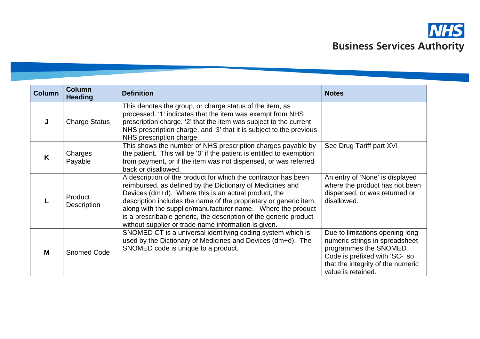

| <b>Column</b> | <b>Column</b><br><b>Heading</b> | <b>Definition</b>                                                                                                                                                                                                                                                                                                                                                                                                                                     | <b>Notes</b>                                                                                                                                                                            |
|---------------|---------------------------------|-------------------------------------------------------------------------------------------------------------------------------------------------------------------------------------------------------------------------------------------------------------------------------------------------------------------------------------------------------------------------------------------------------------------------------------------------------|-----------------------------------------------------------------------------------------------------------------------------------------------------------------------------------------|
|               | <b>Charge Status</b>            | This denotes the group, or charge status of the item, as<br>processed. '1' indicates that the item was exempt from NHS<br>prescription charge, '2' that the item was subject to the current<br>NHS prescription charge, and '3' that it is subject to the previous<br>NHS prescription charge.                                                                                                                                                        |                                                                                                                                                                                         |
| K             | Charges<br>Payable              | This shows the number of NHS prescription charges payable by<br>the patient. This will be '0' if the patient is entitled to exemption<br>from payment, or if the item was not dispensed, or was referred<br>back or disallowed.                                                                                                                                                                                                                       | See Drug Tariff part XVI                                                                                                                                                                |
|               | <b>Product</b><br>Description   | A description of the product for which the contractor has been<br>reimbursed, as defined by the Dictionary of Medicines and<br>Devices (dm+d). Where this is an actual product, the<br>description includes the name of the proprietary or generic item,<br>along with the supplier/manufacturer name. Where the product<br>is a prescribable generic, the description of the generic product<br>without supplier or trade name information is given. | An entry of 'None' is displayed<br>where the product has not been<br>dispensed, or was returned or<br>disallowed.                                                                       |
| M             | <b>Snomed Code</b>              | SNOMED CT is a universal identifying coding system which is<br>used by the Dictionary of Medicines and Devices (dm+d). The<br>SNOMED code is unique to a product.                                                                                                                                                                                                                                                                                     | Due to limitations opening long<br>numeric strings in spreadsheet<br>programmes the SNOMED<br>Code is prefixed with 'SC-' so<br>that the integrity of the numeric<br>value is retained. |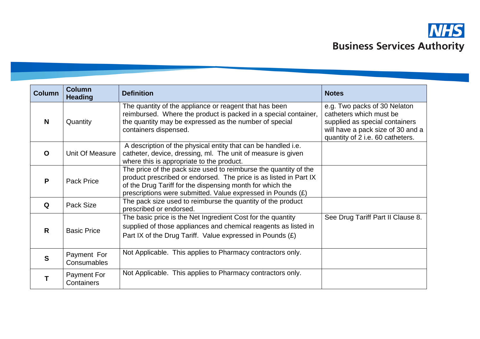

| <b>Column</b> | <b>Column</b><br><b>Heading</b>   | <b>Definition</b>                                                                                                                                                                                                                                                 | <b>Notes</b>                                                                                                                                                       |
|---------------|-----------------------------------|-------------------------------------------------------------------------------------------------------------------------------------------------------------------------------------------------------------------------------------------------------------------|--------------------------------------------------------------------------------------------------------------------------------------------------------------------|
| N             | Quantity                          | The quantity of the appliance or reagent that has been<br>reimbursed. Where the product is packed in a special container,<br>the quantity may be expressed as the number of special<br>containers dispensed.                                                      | e.g. Two packs of 30 Nelaton<br>catheters which must be<br>supplied as special containers<br>will have a pack size of 30 and a<br>quantity of 2 i.e. 60 catheters. |
| $\mathbf O$   | Unit Of Measure                   | A description of the physical entity that can be handled i.e.<br>catheter, device, dressing, ml. The unit of measure is given<br>where this is appropriate to the product.                                                                                        |                                                                                                                                                                    |
| P             | Pack Price                        | The price of the pack size used to reimburse the quantity of the<br>product prescribed or endorsed. The price is as listed in Part IX<br>of the Drug Tariff for the dispensing month for which the<br>prescriptions were submitted. Value expressed in Pounds (£) |                                                                                                                                                                    |
| Q             | Pack Size                         | The pack size used to reimburse the quantity of the product<br>prescribed or endorsed.                                                                                                                                                                            |                                                                                                                                                                    |
| $\mathsf{R}$  | <b>Basic Price</b>                | The basic price is the Net Ingredient Cost for the quantity<br>supplied of those appliances and chemical reagents as listed in<br>Part IX of the Drug Tariff. Value expressed in Pounds $(E)$                                                                     | See Drug Tariff Part II Clause 8.                                                                                                                                  |
| $\mathbf{s}$  | Payment For<br><b>Consumables</b> | Not Applicable. This applies to Pharmacy contractors only.                                                                                                                                                                                                        |                                                                                                                                                                    |
|               | Payment For<br>Containers         | Not Applicable. This applies to Pharmacy contractors only.                                                                                                                                                                                                        |                                                                                                                                                                    |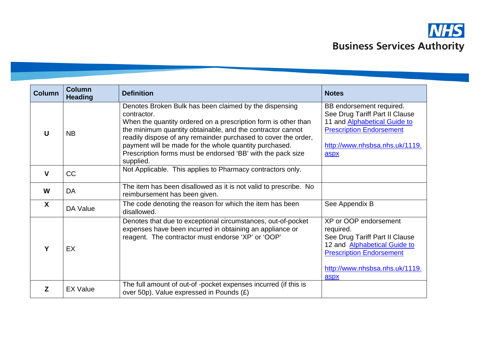

| <b>Column</b> | <b>Column</b><br><b>Heading</b> | <b>Definition</b>                                                                                                                                                                                                                                                                                                                                                                                             | <b>Notes</b>                                                                                                                                                                      |
|---------------|---------------------------------|---------------------------------------------------------------------------------------------------------------------------------------------------------------------------------------------------------------------------------------------------------------------------------------------------------------------------------------------------------------------------------------------------------------|-----------------------------------------------------------------------------------------------------------------------------------------------------------------------------------|
| U             | <b>NB</b>                       | Denotes Broken Bulk has been claimed by the dispensing<br>contractor.<br>When the quantity ordered on a prescription form is other than<br>the minimum quantity obtainable, and the contractor cannot<br>readily dispose of any remainder purchased to cover the order,<br>payment will be made for the whole quantity purchased.<br>Prescription forms must be endorsed 'BB' with the pack size<br>supplied. | BB endorsement required.<br>See Drug Tariff Part II Clause<br>11 and <b>Alphabetical Guide to</b><br><b>Prescription Endorsement</b><br>http://www.nhsbsa.nhs.uk/1119.<br>aspx    |
| $\mathbf{V}$  | CC                              | Not Applicable. This applies to Pharmacy contractors only.                                                                                                                                                                                                                                                                                                                                                    |                                                                                                                                                                                   |
| W             | DA                              | The item has been disallowed as it is not valid to prescribe. No<br>reimbursement has been given.                                                                                                                                                                                                                                                                                                             |                                                                                                                                                                                   |
| X             | DA Value                        | The code denoting the reason for which the item has been<br>disallowed.                                                                                                                                                                                                                                                                                                                                       | See Appendix B                                                                                                                                                                    |
| Υ             | EX                              | Denotes that due to exceptional circumstances, out-of-pocket<br>expenses have been incurred in obtaining an appliance or<br>reagent. The contractor must endorse 'XP' or 'OOP'                                                                                                                                                                                                                                | XP or OOP endorsement<br>required.<br>See Drug Tariff Part II Clause<br>12 and Alphabetical Guide to<br><b>Prescription Endorsement</b><br>http://www.nhsbsa.nhs.uk/1119.<br>aspx |
| Z             | <b>EX Value</b>                 | The full amount of out-of -pocket expenses incurred (if this is<br>over 50p). Value expressed in Pounds (£)                                                                                                                                                                                                                                                                                                   |                                                                                                                                                                                   |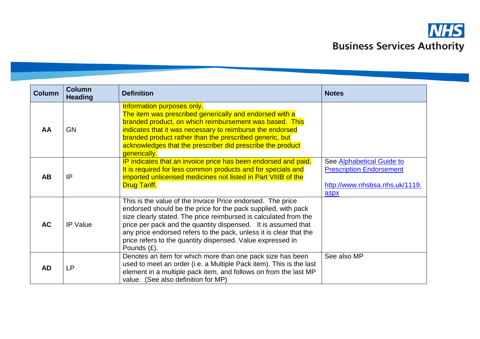

| <b>Column</b> | <b>Column</b><br><b>Heading</b> | <b>Definition</b>                                                                                                                                                                                                                                                                                                                                                                                                   | <b>Notes</b>                                                                                           |
|---------------|---------------------------------|---------------------------------------------------------------------------------------------------------------------------------------------------------------------------------------------------------------------------------------------------------------------------------------------------------------------------------------------------------------------------------------------------------------------|--------------------------------------------------------------------------------------------------------|
| AA            | <b>GN</b>                       | Information purposes only.<br>The item was prescribed generically and endorsed with a<br>branded product, on which reimbursement was based. This<br>indicates that it was necessary to reimburse the endorsed<br>branded product rather than the prescribed generic, but<br>acknowledges that the prescriber did prescribe the product<br>generically.                                                              |                                                                                                        |
| <b>AB</b>     | IP                              | IP indicates that an invoice price has been endorsed and paid.<br>It is required for less common products and for specials and<br>imported unlicensed medicines not listed in Part VIIIB of the<br><b>Drug Tariff.</b>                                                                                                                                                                                              | See Alphabetical Guide to<br><b>Prescription Endorsement</b><br>http://www.nhsbsa.nhs.uk/1119.<br>aspx |
| <b>AC</b>     | <b>IP Value</b>                 | This is the value of the Invoice Price endorsed. The price<br>endorsed should be the price for the pack supplied, with pack<br>size clearly stated. The price reimbursed is calculated from the<br>price per pack and the quantity dispensed. It is assumed that<br>any price endorsed refers to the pack, unless it is clear that the<br>price refers to the quantity dispensed. Value expressed in<br>Pounds (£). |                                                                                                        |
| <b>AD</b>     | LР                              | Denotes an item for which more than one pack size has been<br>used to meet an order (i.e. a Multiple Pack item). This is the last<br>element in a multiple pack item, and follows on from the last MP<br>value. (See also definition for MP)                                                                                                                                                                        | See also MP                                                                                            |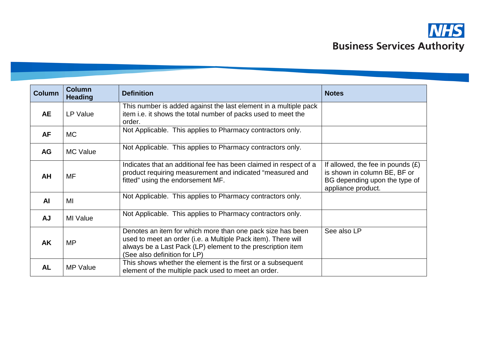

| <b>Column</b> | <b>Column</b><br><b>Heading</b> | <b>Definition</b>                                                                                                                                                                                                          | <b>Notes</b>                                                                                                               |
|---------------|---------------------------------|----------------------------------------------------------------------------------------------------------------------------------------------------------------------------------------------------------------------------|----------------------------------------------------------------------------------------------------------------------------|
| AE            | LP Value                        | This number is added against the last element in a multiple pack<br>item i.e. it shows the total number of packs used to meet the<br>order.                                                                                |                                                                                                                            |
| <b>AF</b>     | <b>MC</b>                       | Not Applicable. This applies to Pharmacy contractors only.                                                                                                                                                                 |                                                                                                                            |
| AG            | <b>MC Value</b>                 | Not Applicable. This applies to Pharmacy contractors only.                                                                                                                                                                 |                                                                                                                            |
| <b>AH</b>     | <b>MF</b>                       | Indicates that an additional fee has been claimed in respect of a<br>product requiring measurement and indicated "measured and<br>fitted" using the endorsement MF.                                                        | If allowed, the fee in pounds $(E)$<br>is shown in column BE, BF or<br>BG depending upon the type of<br>appliance product. |
| <b>AI</b>     | MI                              | Not Applicable. This applies to Pharmacy contractors only.                                                                                                                                                                 |                                                                                                                            |
| <b>AJ</b>     | MI Value                        | Not Applicable. This applies to Pharmacy contractors only.                                                                                                                                                                 |                                                                                                                            |
| AK            | MP                              | Denotes an item for which more than one pack size has been<br>used to meet an order (i.e. a Multiple Pack item). There will<br>always be a Last Pack (LP) element to the prescription item<br>(See also definition for LP) | See also LP                                                                                                                |
| <b>AL</b>     | <b>MP Value</b>                 | This shows whether the element is the first or a subsequent<br>element of the multiple pack used to meet an order.                                                                                                         |                                                                                                                            |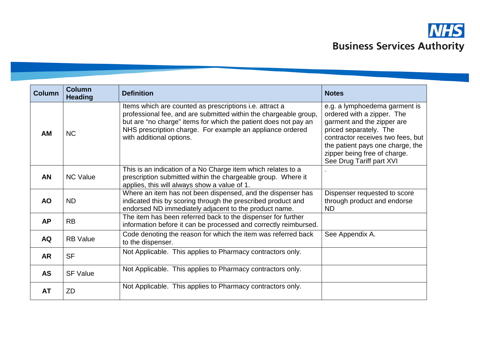

| <b>Column</b> | <b>Column</b><br><b>Heading</b> | <b>Definition</b>                                                                                                                                                                                                                                                                       | <b>Notes</b>                                                                                                                                                                                                                                             |
|---------------|---------------------------------|-----------------------------------------------------------------------------------------------------------------------------------------------------------------------------------------------------------------------------------------------------------------------------------------|----------------------------------------------------------------------------------------------------------------------------------------------------------------------------------------------------------------------------------------------------------|
| <b>AM</b>     | <b>NC</b>                       | Items which are counted as prescriptions i.e. attract a<br>professional fee, and are submitted within the chargeable group,<br>but are "no charge" items for which the patient does not pay an<br>NHS prescription charge. For example an appliance ordered<br>with additional options. | e.g. a lymphoedema garment is<br>ordered with a zipper. The<br>garment and the zipper are<br>priced separately. The<br>contractor receives two fees, but<br>the patient pays one charge, the<br>zipper being free of charge.<br>See Drug Tariff part XVI |
| <b>AN</b>     | <b>NC Value</b>                 | This is an indication of a No Charge item which relates to a<br>prescription submitted within the chargeable group. Where it<br>applies, this will always show a value of 1.                                                                                                            |                                                                                                                                                                                                                                                          |
| <b>AO</b>     | <b>ND</b>                       | Where an item has not been dispensed, and the dispenser has<br>indicated this by scoring through the prescribed product and<br>endorsed ND immediately adjacent to the product name.                                                                                                    | Dispenser requested to score<br>through product and endorse<br><b>ND</b>                                                                                                                                                                                 |
| <b>AP</b>     | <b>RB</b>                       | The item has been referred back to the dispenser for further<br>information before it can be processed and correctly reimbursed.                                                                                                                                                        |                                                                                                                                                                                                                                                          |
| <b>AQ</b>     | <b>RB</b> Value                 | Code denoting the reason for which the item was referred back<br>to the dispenser.                                                                                                                                                                                                      | See Appendix A.                                                                                                                                                                                                                                          |
| <b>AR</b>     | <b>SF</b>                       | Not Applicable. This applies to Pharmacy contractors only.                                                                                                                                                                                                                              |                                                                                                                                                                                                                                                          |
| <b>AS</b>     | <b>SF Value</b>                 | Not Applicable. This applies to Pharmacy contractors only.                                                                                                                                                                                                                              |                                                                                                                                                                                                                                                          |
| <b>AT</b>     | ZD                              | Not Applicable. This applies to Pharmacy contractors only.                                                                                                                                                                                                                              |                                                                                                                                                                                                                                                          |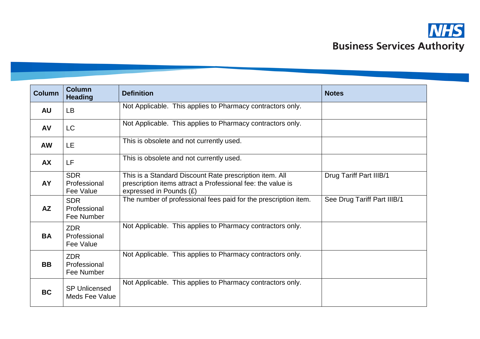

| <b>Column</b> | Column<br><b>Heading</b>                      | <b>Definition</b>                                                                                                                                 | <b>Notes</b>                   |
|---------------|-----------------------------------------------|---------------------------------------------------------------------------------------------------------------------------------------------------|--------------------------------|
| <b>AU</b>     | <b>LB</b>                                     | Not Applicable. This applies to Pharmacy contractors only.                                                                                        |                                |
| AV            | <b>LC</b>                                     | Not Applicable. This applies to Pharmacy contractors only.                                                                                        |                                |
| <b>AW</b>     | LE                                            | This is obsolete and not currently used.                                                                                                          |                                |
| <b>AX</b>     | LF                                            | This is obsolete and not currently used.                                                                                                          |                                |
| <b>AY</b>     | <b>SDR</b><br>Professional<br>Fee Value       | This is a Standard Discount Rate prescription item. All<br>prescription items attract a Professional fee: the value is<br>expressed in Pounds (£) | <b>Drug Tariff Part IIIB/1</b> |
| AZ            | <b>SDR</b><br>Professional<br>Fee Number      | The number of professional fees paid for the prescription item.                                                                                   | See Drug Tariff Part IIIB/1    |
| <b>BA</b>     | <b>ZDR</b><br>Professional<br>Fee Value       | Not Applicable. This applies to Pharmacy contractors only.                                                                                        |                                |
| <b>BB</b>     | ZDR.<br>Professional<br>Fee Number            | Not Applicable. This applies to Pharmacy contractors only.                                                                                        |                                |
| <b>BC</b>     | <b>SP Unlicensed</b><br><b>Meds Fee Value</b> | Not Applicable. This applies to Pharmacy contractors only.                                                                                        |                                |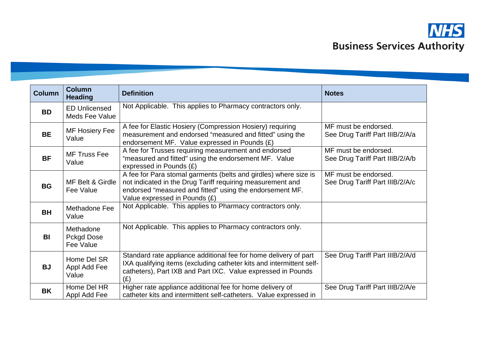

| <b>Column</b> | <b>Column</b><br><b>Heading</b>        | <b>Definition</b>                                                                                                                                                                                                           | <b>Notes</b>                                            |
|---------------|----------------------------------------|-----------------------------------------------------------------------------------------------------------------------------------------------------------------------------------------------------------------------------|---------------------------------------------------------|
| <b>BD</b>     | <b>ED Unlicensed</b><br>Meds Fee Value | Not Applicable. This applies to Pharmacy contractors only.                                                                                                                                                                  |                                                         |
| <b>BE</b>     | <b>MF Hosiery Fee</b><br>Value         | A fee for Elastic Hosiery (Compression Hosiery) requiring<br>measurement and endorsed "measured and fitted" using the<br>endorsement MF. Value expressed in Pounds $(E)$                                                    | MF must be endorsed.<br>See Drug Tariff Part IIIB/2/A/a |
| <b>BF</b>     | <b>MF Truss Fee</b><br>Value           | A fee for Trusses requiring measurement and endorsed<br>"measured and fitted" using the endorsement MF. Value<br>expressed in Pounds (£)                                                                                    | MF must be endorsed.<br>See Drug Tariff Part IIIB/2/A/b |
| <b>BG</b>     | MF Belt & Girdle<br>Fee Value          | A fee for Para stomal garments (belts and girdles) where size is<br>not indicated in the Drug Tariff requiring measurement and<br>endorsed "measured and fitted" using the endorsement MF.<br>Value expressed in Pounds (£) | MF must be endorsed.<br>See Drug Tariff Part IIIB/2/A/c |
| <b>BH</b>     | Methadone Fee<br>Value                 | Not Applicable. This applies to Pharmacy contractors only.                                                                                                                                                                  |                                                         |
| <b>BI</b>     | Methadone<br>Pckgd Dose<br>Fee Value   | Not Applicable. This applies to Pharmacy contractors only.                                                                                                                                                                  |                                                         |
| <b>BJ</b>     | Home Del SR<br>Appl Add Fee<br>Value   | Standard rate appliance additional fee for home delivery of part<br>IXA qualifying items (excluding catheter kits and intermittent self-<br>catheters), Part IXB and Part IXC. Value expressed in Pounds<br>(E)             | See Drug Tariff Part IIIB/2/A/d                         |
| <b>BK</b>     | Home Del HR<br>Appl Add Fee            | Higher rate appliance additional fee for home delivery of<br>catheter kits and intermittent self-catheters. Value expressed in                                                                                              | See Drug Tariff Part IIIB/2/A/e                         |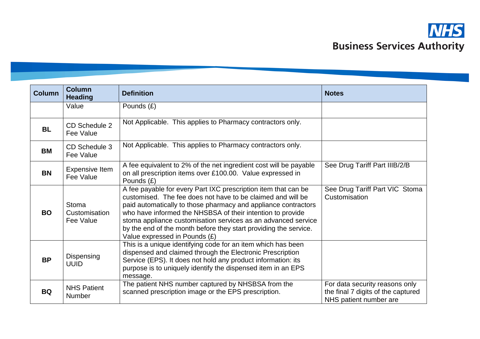| <b>Column</b> | <b>Column</b><br><b>Heading</b>     | <b>Definition</b>                                                                                                                                                                                                                                                                                                                                                                                                                   | <b>Notes</b>                                                                                   |
|---------------|-------------------------------------|-------------------------------------------------------------------------------------------------------------------------------------------------------------------------------------------------------------------------------------------------------------------------------------------------------------------------------------------------------------------------------------------------------------------------------------|------------------------------------------------------------------------------------------------|
|               | Value                               | Pounds (£)                                                                                                                                                                                                                                                                                                                                                                                                                          |                                                                                                |
| <b>BL</b>     | CD Schedule 2<br>Fee Value          | Not Applicable. This applies to Pharmacy contractors only.                                                                                                                                                                                                                                                                                                                                                                          |                                                                                                |
| <b>BM</b>     | CD Schedule 3<br>Fee Value          | Not Applicable. This applies to Pharmacy contractors only.                                                                                                                                                                                                                                                                                                                                                                          |                                                                                                |
| <b>BN</b>     | <b>Expensive Item</b><br>Fee Value  | A fee equivalent to 2% of the net ingredient cost will be payable<br>on all prescription items over £100.00. Value expressed in<br>Pounds (£)                                                                                                                                                                                                                                                                                       | See Drug Tariff Part IIIB/2/B                                                                  |
| <b>BO</b>     | Stoma<br>Customisation<br>Fee Value | A fee payable for every Part IXC prescription item that can be<br>customised. The fee does not have to be claimed and will be<br>paid automatically to those pharmacy and appliance contractors<br>who have informed the NHSBSA of their intention to provide<br>stoma appliance customisation services as an advanced service<br>by the end of the month before they start providing the service.<br>Value expressed in Pounds (£) | See Drug Tariff Part VIC Stoma<br>Customisation                                                |
| <b>BP</b>     | Dispensing<br><b>UUID</b>           | This is a unique identifying code for an item which has been<br>dispensed and claimed through the Electronic Prescription<br>Service (EPS). It does not hold any product information: its<br>purpose is to uniquely identify the dispensed item in an EPS<br>message.                                                                                                                                                               |                                                                                                |
| <b>BQ</b>     | <b>NHS Patient</b><br><b>Number</b> | The patient NHS number captured by NHSBSA from the<br>scanned prescription image or the EPS prescription.                                                                                                                                                                                                                                                                                                                           | For data security reasons only<br>the final 7 digits of the captured<br>NHS patient number are |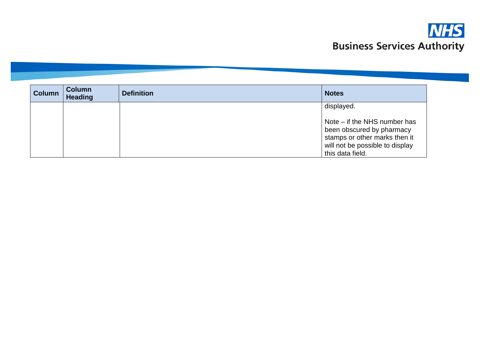

| <b>Column</b> | <b>Column</b><br><b>Heading</b> | <b>Definition</b> | <b>Notes</b>                                                                                                                                                    |
|---------------|---------------------------------|-------------------|-----------------------------------------------------------------------------------------------------------------------------------------------------------------|
|               |                                 |                   | displayed.<br>Note – if the NHS number has<br>been obscured by pharmacy<br>stamps or other marks then it<br>will not be possible to display<br>this data field. |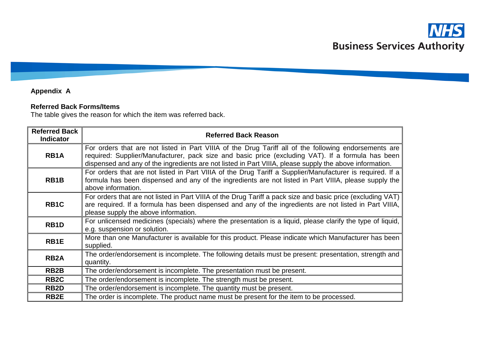# **Appendix A**

### **Referred Back Forms/Items**

The table gives the reason for which the item was referred back.

| <b>Referred Back</b><br><b>Indicator</b> | <b>Referred Back Reason</b>                                                                                                                                                                                                                                                                                           |
|------------------------------------------|-----------------------------------------------------------------------------------------------------------------------------------------------------------------------------------------------------------------------------------------------------------------------------------------------------------------------|
| RB <sub>1</sub> A                        | For orders that are not listed in Part VIIIA of the Drug Tariff all of the following endorsements are<br>required: Supplier/Manufacturer, pack size and basic price (excluding VAT). If a formula has been<br>dispensed and any of the ingredients are not listed in Part VIIIA, please supply the above information. |
| RB <sub>1</sub> B                        | For orders that are not listed in Part VIIIA of the Drug Tariff a Supplier/Manufacturer is required. If a<br>formula has been dispensed and any of the ingredients are not listed in Part VIIIA, please supply the<br>above information.                                                                              |
| RB <sub>1</sub> C                        | For orders that are not listed in Part VIIIA of the Drug Tariff a pack size and basic price (excluding VAT)<br>are required. If a formula has been dispensed and any of the ingredients are not listed in Part VIIIA,<br>please supply the above information.                                                         |
| RB <sub>1</sub> D                        | For unlicensed medicines (specials) where the presentation is a liquid, please clarify the type of liquid,<br>e.g. suspension or solution.                                                                                                                                                                            |
| RB1E                                     | More than one Manufacturer is available for this product. Please indicate which Manufacturer has been<br>supplied.                                                                                                                                                                                                    |
| RB <sub>2</sub> A                        | The order/endorsement is incomplete. The following details must be present: presentation, strength and<br>quantity.                                                                                                                                                                                                   |
| RB <sub>2</sub> B                        | The order/endorsement is incomplete. The presentation must be present.                                                                                                                                                                                                                                                |
| RB <sub>2</sub> C                        | The order/endorsement is incomplete. The strength must be present.                                                                                                                                                                                                                                                    |
| RB <sub>2</sub> D                        | The order/endorsement is incomplete. The quantity must be present.                                                                                                                                                                                                                                                    |
| RB <sub>2</sub> E                        | The order is incomplete. The product name must be present for the item to be processed.                                                                                                                                                                                                                               |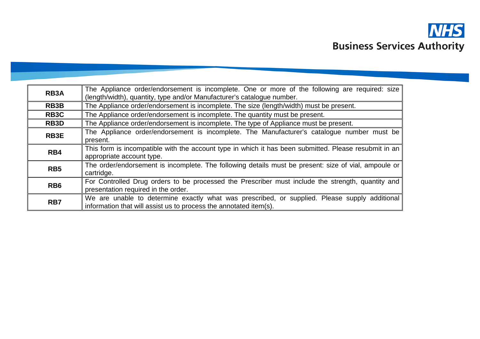

| RB3A            | The Appliance order/endorsement is incomplete. One or more of the following are required: size<br>(length/width), quantity, type and/or Manufacturer's catalogue number. |
|-----------------|--------------------------------------------------------------------------------------------------------------------------------------------------------------------------|
| <b>RB3B</b>     | The Appliance order/endorsement is incomplete. The size (length/width) must be present.                                                                                  |
| RB3C            | The Appliance order/endorsement is incomplete. The quantity must be present.                                                                                             |
| RB3D            | The Appliance order/endorsement is incomplete. The type of Appliance must be present.                                                                                    |
| RB3E            | The Appliance order/endorsement is incomplete. The Manufacturer's catalogue number must be<br>present.                                                                   |
| RB4             | This form is incompatible with the account type in which it has been submitted. Please resubmit in an<br>appropriate account type.                                       |
| RB <sub>5</sub> | The order/endorsement is incomplete. The following details must be present: size of vial, ampoule or<br>cartridge.                                                       |
| RB <sub>6</sub> | For Controlled Drug orders to be processed the Prescriber must include the strength, quantity and<br>presentation required in the order.                                 |
| RB7             | We are unable to determine exactly what was prescribed, or supplied. Please supply additional<br>information that will assist us to process the annotated item(s).       |